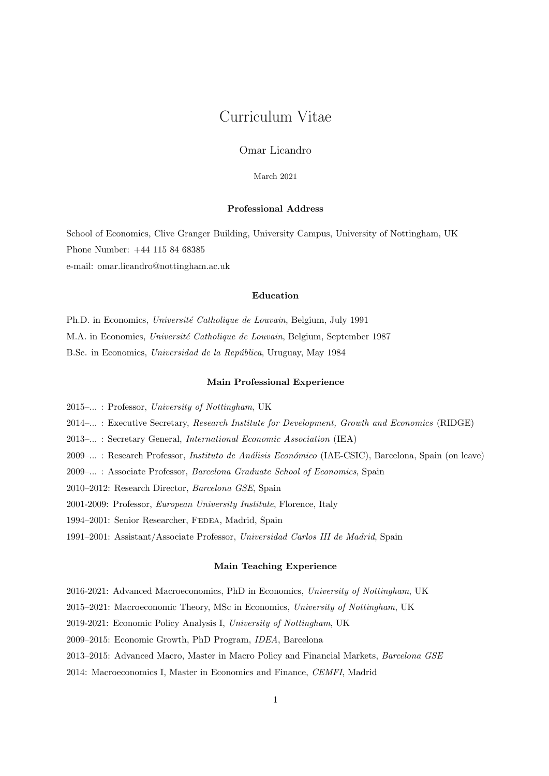# Curriculum Vitae

Omar Licandro

March 2021

## Professional Address

School of Economics, Clive Granger Building, University Campus, University of Nottingham, UK Phone Number: +44 115 84 68385 e-mail: omar.licandro@nottingham.ac.uk

# Education

Ph.D. in Economics, Université Catholique de Louvain, Belgium, July 1991 M.A. in Economics, Université Catholique de Louvain, Belgium, September 1987 B.Sc. in Economics, Universidad de la República, Uruguay, May 1984

## Main Professional Experience

2015–... : Professor, University of Nottingham, UK

2014–... : Executive Secretary, Research Institute for Development, Growth and Economics (RIDGE)

- 2013–... : Secretary General, International Economic Association (IEA)
- 2009–... : Research Professor, *Instituto de Análisis Económico* (IAE-CSIC), Barcelona, Spain (on leave)
- 2009–... : Associate Professor, Barcelona Graduate School of Economics, Spain
- 2010–2012: Research Director, Barcelona GSE, Spain
- 2001-2009: Professor, European University Institute, Florence, Italy
- 1994–2001: Senior Researcher, FEDEA, Madrid, Spain
- 1991–2001: Assistant/Associate Professor, Universidad Carlos III de Madrid, Spain

## Main Teaching Experience

- 2016-2021: Advanced Macroeconomics, PhD in Economics, University of Nottingham, UK
- 2015–2021: Macroeconomic Theory, MSc in Economics, University of Nottingham, UK
- 2019-2021: Economic Policy Analysis I, University of Nottingham, UK
- 2009–2015: Economic Growth, PhD Program, IDEA, Barcelona
- 2013–2015: Advanced Macro, Master in Macro Policy and Financial Markets, Barcelona GSE
- 2014: Macroeconomics I, Master in Economics and Finance, CEMFI, Madrid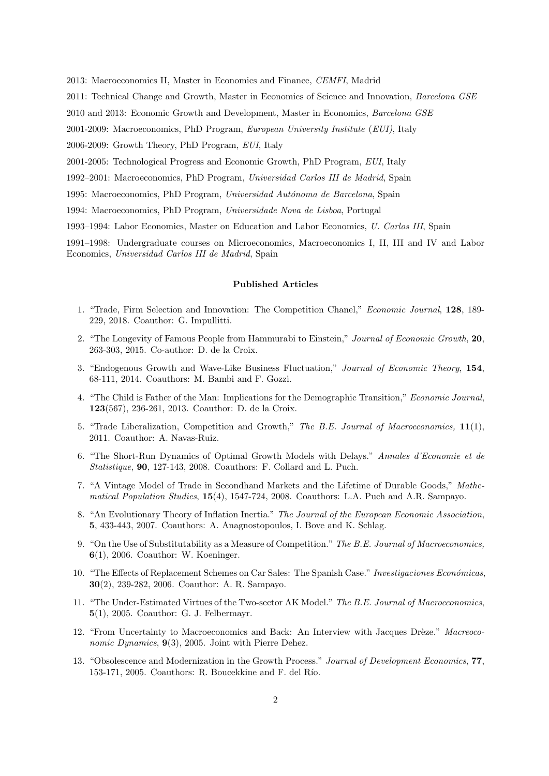2013: Macroeconomics II, Master in Economics and Finance, CEMFI, Madrid

2011: Technical Change and Growth, Master in Economics of Science and Innovation, Barcelona GSE

2010 and 2013: Economic Growth and Development, Master in Economics, Barcelona GSE

2001-2009: Macroeconomics, PhD Program, European University Institute (EUI), Italy

2006-2009: Growth Theory, PhD Program, EUI, Italy

2001-2005: Technological Progress and Economic Growth, PhD Program, EUI, Italy

1992–2001: Macroeconomics, PhD Program, Universidad Carlos III de Madrid, Spain

1995: Macroeconomics, PhD Program, Universidad Autónoma de Barcelona, Spain

1994: Macroeconomics, PhD Program, Universidade Nova de Lisboa, Portugal

1993–1994: Labor Economics, Master on Education and Labor Economics, U. Carlos III, Spain

1991–1998: Undergraduate courses on Microeconomics, Macroeconomics I, II, III and IV and Labor Economics, Universidad Carlos III de Madrid, Spain

### Published Articles

- 1. "Trade, Firm Selection and Innovation: The Competition Chanel," Economic Journal, 128, 189- 229, 2018. Coauthor: G. Impullitti.
- 2. "The Longevity of Famous People from Hammurabi to Einstein," Journal of Economic Growth, 20, 263-303, 2015. Co-author: D. de la Croix.
- 3. "Endogenous Growth and Wave-Like Business Fluctuation," Journal of Economic Theory, 154, 68-111, 2014. Coauthors: M. Bambi and F. Gozzi.
- 4. "The Child is Father of the Man: Implications for the Demographic Transition," Economic Journal, 123(567), 236-261, 2013. Coauthor: D. de la Croix.
- 5. "Trade Liberalization, Competition and Growth," The B.E. Journal of Macroeconomics, 11(1), 2011. Coauthor: A. Navas-Ruiz.
- 6. "The Short-Run Dynamics of Optimal Growth Models with Delays." Annales d'Economie et de Statistique, 90, 127-143, 2008. Coauthors: F. Collard and L. Puch.
- 7. "A Vintage Model of Trade in Secondhand Markets and the Lifetime of Durable Goods," Mathematical Population Studies, 15(4), 1547-724, 2008. Coauthors: L.A. Puch and A.R. Sampayo.
- 8. "An Evolutionary Theory of Inflation Inertia." The Journal of the European Economic Association, 5, 433-443, 2007. Coauthors: A. Anagnostopoulos, I. Bove and K. Schlag.
- 9. "On the Use of Substitutability as a Measure of Competition." The B.E. Journal of Macroeconomics, 6(1), 2006. Coauthor: W. Koeninger.
- 10. "The Effects of Replacement Schemes on Car Sales: The Spanish Case." Investigaciones Económicas, 30(2), 239-282, 2006. Coauthor: A. R. Sampayo.
- 11. "The Under-Estimated Virtues of the Two-sector AK Model." The B.E. Journal of Macroeconomics, 5(1), 2005. Coauthor: G. J. Felbermayr.
- 12. "From Uncertainty to Macroeconomics and Back: An Interview with Jacques Drèze." Macreoco*nomic Dynamics*,  $9(3)$ , 2005. Joint with Pierre Dehez.
- 13. "Obsolescence and Modernization in the Growth Process." Journal of Development Economics, 77, 153-171, 2005. Coauthors: R. Boucekkine and F. del Río.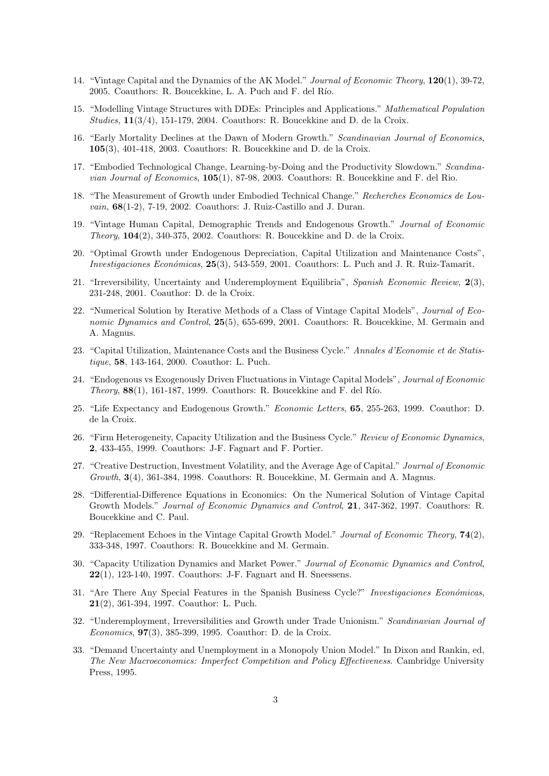- 14. "Vintage Capital and the Dynamics of the AK Model." Journal of Economic Theory, 120(1), 39-72, 2005. Coauthors: R. Boucekkine, L. A. Puch and F. del Río.
- 15. "Modelling Vintage Structures with DDEs: Principles and Applications." Mathematical Population Studies,  $11(3/4)$ , 151-179, 2004. Coauthors: R. Boucekkine and D. de la Croix.
- 16. "Early Mortality Declines at the Dawn of Modern Growth." Scandinavian Journal of Economics, 105(3), 401-418, 2003. Coauthors: R. Boucekkine and D. de la Croix.
- 17. "Embodied Technological Change, Learning-by-Doing and the Productivity Slowdown." Scandina*vian Journal of Economics*,  $105(1)$ , 87-98, 2003. Coauthors: R. Boucekkine and F. del Rio.
- 18. "The Measurement of Growth under Embodied Technical Change." Recherches Economics de Louvain, 68(1-2), 7-19, 2002. Coauthors: J. Ruiz-Castillo and J. Duran.
- 19. "Vintage Human Capital, Demographic Trends and Endogenous Growth." Journal of Economic Theory, 104(2), 340-375, 2002. Coauthors: R. Boucekkine and D. de la Croix.
- 20. "Optimal Growth under Endogenous Depreciation, Capital Utilization and Maintenance Costs", *Investigaciones Económicas*,  $25(3)$ ,  $543-559$ ,  $2001$ . Coauthors: L. Puch and J. R. Ruiz-Tamarit.
- 21. "Irreversibility, Uncertainty and Underemployment Equilibria", Spanish Economic Review, 2(3), 231-248, 2001. Coauthor: D. de la Croix.
- 22. "Numerical Solution by Iterative Methods of a Class of Vintage Capital Models", Journal of Economic Dynamics and Control, 25(5), 655-699, 2001. Coauthors: R. Boucekkine, M. Germain and A. Magnus.
- 23. "Capital Utilization, Maintenance Costs and the Business Cycle." Annales d'Economie et de Statistique, 58, 143-164, 2000. Coauthor: L. Puch.
- 24. "Endogenous vs Exogenously Driven Fluctuations in Vintage Capital Models", Journal of Economic Theory,  $88(1)$ , 161-187, 1999. Coauthors: R. Boucekkine and F. del Río.
- 25. "Life Expectancy and Endogenous Growth." Economic Letters, 65, 255-263, 1999. Coauthor: D. de la Croix.
- 26. "Firm Heterogeneity, Capacity Utilization and the Business Cycle." Review of Economic Dynamics, 2, 433-455, 1999. Coauthors: J-F. Fagnart and F. Portier.
- 27. "Creative Destruction, Investment Volatility, and the Average Age of Capital." Journal of Economic Growth, 3(4), 361-384, 1998. Coauthors: R. Boucekkine, M. Germain and A. Magnus.
- 28. "Differential-Difference Equations in Economics: On the Numerical Solution of Vintage Capital Growth Models." *Journal of Economic Dynamics and Control*, **21**, 347-362, 1997. Coauthors: R. Boucekkine and C. Paul.
- 29. "Replacement Echoes in the Vintage Capital Growth Model." Journal of Economic Theory, 74(2), 333-348, 1997. Coauthors: R. Boucekkine and M. Germain.
- 30. "Capacity Utilization Dynamics and Market Power." Journal of Economic Dynamics and Control, 22(1), 123-140, 1997. Coauthors: J-F. Fagnart and H. Sneessens.
- 31. "Are There Any Special Features in the Spanish Business Cycle?" Investigaciones Económicas, 21(2), 361-394, 1997. Coauthor: L. Puch.
- 32. "Underemployment, Irreversibilities and Growth under Trade Unionism." Scandinavian Journal of Economics, 97(3), 385-399, 1995. Coauthor: D. de la Croix.
- 33. "Demand Uncertainty and Unemployment in a Monopoly Union Model." In Dixon and Rankin, ed, The New Macroeconomics: Imperfect Competition and Policy Effectiveness. Cambridge University Press, 1995.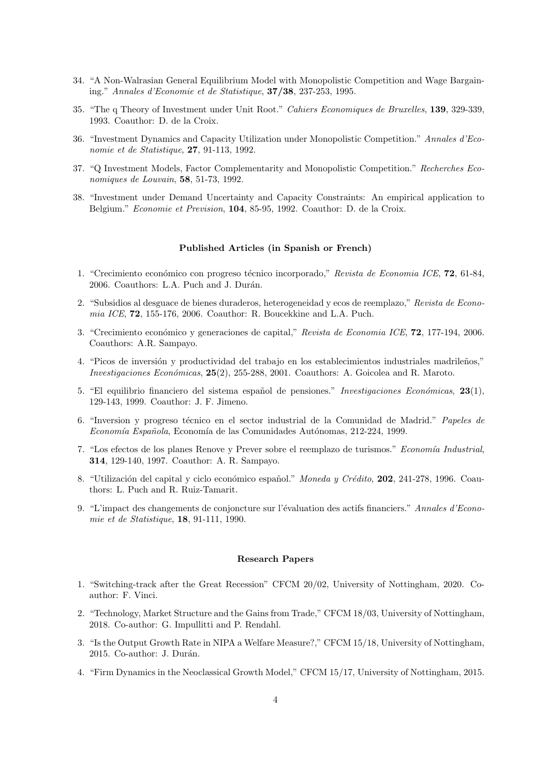- 34. "A Non-Walrasian General Equilibrium Model with Monopolistic Competition and Wage Bargaining." Annales d'Economie et de Statistique, 37/38, 237-253, 1995.
- 35. "The q Theory of Investment under Unit Root." Cahiers Economiques de Bruxelles, 139, 329-339, 1993. Coauthor: D. de la Croix.
- 36. "Investment Dynamics and Capacity Utilization under Monopolistic Competition." Annales d'Economie et de Statistique, 27, 91-113, 1992.
- 37. "Q Investment Models, Factor Complementarity and Monopolistic Competition." Recherches Economiques de Louvain, 58, 51-73, 1992.
- 38. "Investment under Demand Uncertainty and Capacity Constraints: An empirical application to Belgium." Economie et Prevision, 104, 85-95, 1992. Coauthor: D. de la Croix.

# Published Articles (in Spanish or French)

- 1. "Crecimiento económico con progreso técnico incorporado," Revista de Economia ICE, 72, 61-84, 2006. Coauthors: L.A. Puch and J. Durán.
- 2. "Subsidios al desguace de bienes duraderos, heterogeneidad y ecos de reemplazo," Revista de Economia ICE, 72, 155-176, 2006. Coauthor: R. Boucekkine and L.A. Puch.
- 3. "Crecimiento económico y generaciones de capital," Revista de Economia ICE, 72, 177-194, 2006. Coauthors: A.R. Sampayo.
- 4. "Picos de inversión y productividad del trabajo en los establecimientos industriales madrileños," Investigaciones Económicas,  $25(2)$ , 255-288, 2001. Coauthors: A. Goicolea and R. Maroto.
- 5. "El equilibrio financiero del sistema español de pensiones." Investigaciones Económicas,  $23(1)$ , 129-143, 1999. Coauthor: J. F. Jimeno.
- 6. "Inversion y progreso técnico en el sector industrial de la Comunidad de Madrid." Papeles de Economía Española, Economía de las Comunidades Autónomas, 212-224, 1999.
- 7. "Los efectos de los planes Renove y Prever sobre el reemplazo de turismos." Economía Industrial, 314, 129-140, 1997. Coauthor: A. R. Sampayo.
- 8. "Utilización del capital y ciclo económico español." Moneda y Crédito, 202, 241-278, 1996. Coauthors: L. Puch and R. Ruiz-Tamarit.
- 9. "L'impact des changements de conjoncture sur l'évaluation des actifs financiers." Annales d'Economie et de Statistique, 18, 91-111, 1990.

# Research Papers

- 1. "Switching-track after the Great Recession" CFCM 20/02, University of Nottingham, 2020. Coauthor: F. Vinci.
- 2. "Technology, Market Structure and the Gains from Trade," CFCM 18/03, University of Nottingham, 2018. Co-author: G. Impullitti and P. Rendahl.
- 3. "Is the Output Growth Rate in NIPA a Welfare Measure?," CFCM 15/18, University of Nottingham, 2015. Co-author: J. Durán.
- 4. "Firm Dynamics in the Neoclassical Growth Model," CFCM 15/17, University of Nottingham, 2015.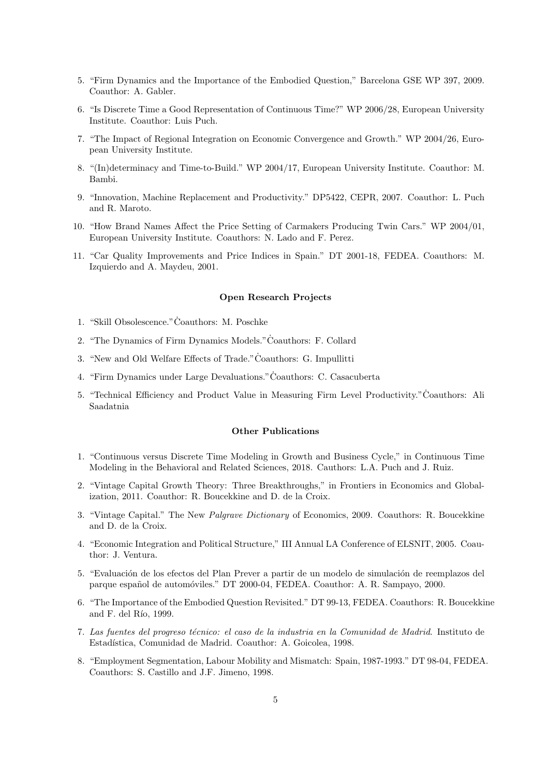- 5. "Firm Dynamics and the Importance of the Embodied Question," Barcelona GSE WP 397, 2009. Coauthor: A. Gabler.
- 6. "Is Discrete Time a Good Representation of Continuous Time?" WP 2006/28, European University Institute. Coauthor: Luis Puch.
- 7. "The Impact of Regional Integration on Economic Convergence and Growth." WP 2004/26, European University Institute.
- 8. "(In)determinacy and Time-to-Build." WP 2004/17, European University Institute. Coauthor: M. Bambi.
- 9. "Innovation, Machine Replacement and Productivity." DP5422, CEPR, 2007. Coauthor: L. Puch and R. Maroto.
- 10. "How Brand Names Affect the Price Setting of Carmakers Producing Twin Cars." WP 2004/01, European University Institute. Coauthors: N. Lado and F. Perez.
- 11. "Car Quality Improvements and Price Indices in Spain." DT 2001-18, FEDEA. Coauthors: M. Izquierdo and A. Maydeu, 2001.

# Open Research Projects

- 1. "Skill Obsolescence." Coauthors: M. Poschke
- 2. "The Dynamics of Firm Dynamics Models." Coauthors: F. Collard
- 3. "New and Old Welfare Effects of Trade."Coauthors: G. Impullitti ˙
- 4. "Firm Dynamics under Large Devaluations." Coauthors: C. Casacuberta
- 5. "Technical Efficiency and Product Value in Measuring Firm Level Productivity."Coauthors: Ali ˙ Saadatnia

#### Other Publications

- 1. "Continuous versus Discrete Time Modeling in Growth and Business Cycle," in Continuous Time Modeling in the Behavioral and Related Sciences, 2018. Cauthors: L.A. Puch and J. Ruiz.
- 2. "Vintage Capital Growth Theory: Three Breakthroughs," in Frontiers in Economics and Globalization, 2011. Coauthor: R. Boucekkine and D. de la Croix.
- 3. "Vintage Capital." The New Palgrave Dictionary of Economics, 2009. Coauthors: R. Boucekkine and D. de la Croix.
- 4. "Economic Integration and Political Structure," III Annual LA Conference of ELSNIT, 2005. Coauthor: J. Ventura.
- 5. "Evaluación de los efectos del Plan Prever a partir de un modelo de simulación de reemplazos del parque español de automóviles." DT 2000-04, FEDEA. Coauthor: A. R. Sampayo, 2000.
- 6. "The Importance of the Embodied Question Revisited." DT 99-13, FEDEA. Coauthors: R. Boucekkine and F. del Río, 1999.
- 7. Las fuentes del progreso técnico: el caso de la industria en la Comunidad de Madrid. Instituto de Estadística, Comunidad de Madrid. Coauthor: A. Goicolea, 1998.
- 8. "Employment Segmentation, Labour Mobility and Mismatch: Spain, 1987-1993." DT 98-04, FEDEA. Coauthors: S. Castillo and J.F. Jimeno, 1998.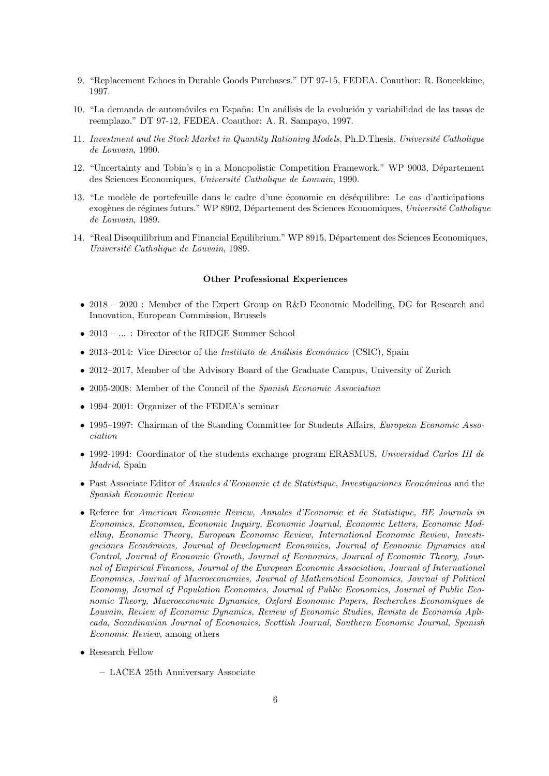- 9. "Replacement Echoes in Durable Goods Purchases." DT 97-15, FEDEA. Coauthor: R. Boucekkine, 1997.
- 10. "La demanda de automóviles en España: Un análisis de la evolución y variabilidad de las tasas de reemplazo." DT 97-12, FEDEA. Coauthor: A. R. Sampayo, 1997.
- 11. Investment and the Stock Market in Quantity Rationing Models, Ph.D.Thesis, Université Catholique de Louvain, 1990.
- 12. "Uncertainty and Tobin's q in a Monopolistic Competition Framework." WP 9003, Département des Sciences Economiques, Université Catholique de Louvain, 1990.
- 13. "Le modèle de portefeuille dans le cadre d'une économie en déséquilibre: Le cas d'anticipations exogènes de régimes futurs." WP 8902, Département des Sciences Economiques, Université Catholique de Louvain, 1989.
- 14. "Real Disequilibrium and Financial Equilibrium." WP 8915, Département des Sciences Economiques, Université Catholique de Louvain, 1989.

### Other Professional Experiences

- 2018 2020 : Member of the Expert Group on R&D Economic Modelling, DG for Research and Innovation, European Commission, Brussels
- 2013 ... : Director of the RIDGE Summer School
- 2013–2014: Vice Director of the *Instituto de Análisis Económico* (CSIC), Spain
- 2012–2017, Member of the Advisory Board of the Graduate Campus, University of Zurich
- 2005-2008: Member of the Council of the Spanish Economic Association
- 1994–2001: Organizer of the FEDEA's seminar
- 1995–1997: Chairman of the Standing Committee for Students Affairs, *European Economic Asso*ciation
- 1992-1994: Coordinator of the students exchange program ERASMUS, Universidad Carlos III de Madrid, Spain
- Past Associate Editor of Annales d'Economie et de Statistique, Investigaciones Económicas and the Spanish Economic Review
- Referee for American Economic Review, Annales d'Economie et de Statistique, BE Journals in Economics, Economica, Economic Inquiry, Economic Journal, Economic Letters, Economic Modelling, Economic Theory, European Economic Review, International Economic Review, Investigaciones Económicas, Journal of Development Economics, Journal of Economic Dynamics and Control, Journal of Economic Growth, Journal of Economics, Journal of Economic Theory, Journal of Empirical Finances, Journal of the European Economic Association, Journal of International Economics, Journal of Macroeconomics, Journal of Mathematical Economics, Journal of Political Economy, Journal of Population Economics, Journal of Public Economics, Journal of Public Economic Theory, Macroeconomic Dynamics, Oxford Economic Papers, Recherches Economiques de Louvain, Review of Economic Dynamics, Review of Economic Studies, Revista de Economía Aplicada, Scandinavian Journal of Economics, Scottish Journal, Southern Economic Journal, Spanish Economic Review, among others
- Research Fellow
	- LACEA 25th Anniversary Associate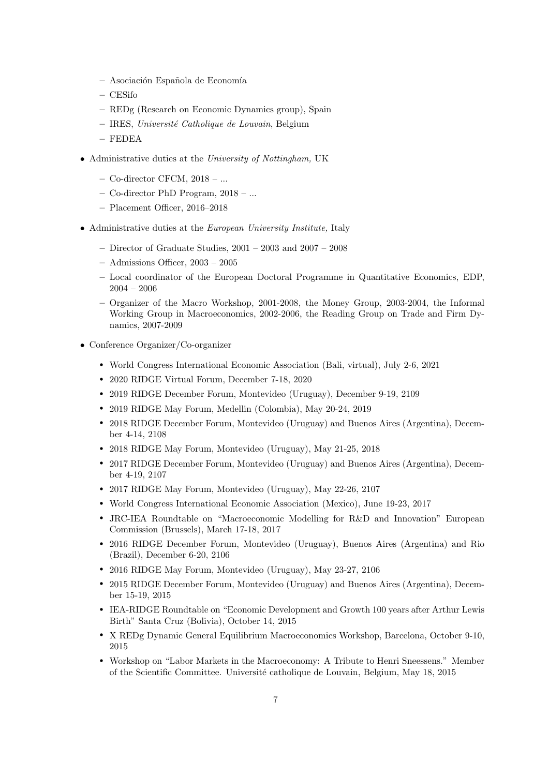- Asociaci´on Espa˜nola de Econom´ıa
- CESifo
- REDg (Research on Economic Dynamics group), Spain
- $-$  IRES, Université Catholique de Louvain, Belgium
- $-$  FEDEA
- Administrative duties at the University of Nottingham, UK
	- Co-director CFCM, 2018 ...
	- Co-director PhD Program, 2018 ...
	- Placement Officer, 2016–2018
- Administrative duties at the European University Institute, Italy
	- Director of Graduate Studies,  $2001 2003$  and  $2007 2008$
	- Admissions Officer, 2003 2005
	- Local coordinator of the European Doctoral Programme in Quantitative Economics, EDP,  $2004 - 2006$
	- Organizer of the Macro Workshop, 2001-2008, the Money Group, 2003-2004, the Informal Working Group in Macroeconomics, 2002-2006, the Reading Group on Trade and Firm Dynamics, 2007-2009
- Conference Organizer/Co-organizer
	- World Congress International Economic Association (Bali, virtual), July 2-6, 2021
	- 2020 RIDGE Virtual Forum, December 7-18, 2020
	- r 2019 RIDGE December Forum, Montevideo (Uruguay), December 9-19, 2109
	- 2019 RIDGE May Forum, Medellin (Colombia), May 20-24, 2019
	- r 2018 RIDGE December Forum, Montevideo (Uruguay) and Buenos Aires (Argentina), December 4-14, 2108
	- 2018 RIDGE May Forum, Montevideo (Uruguay), May 21-25, 2018
	- r 2017 RIDGE December Forum, Montevideo (Uruguay) and Buenos Aires (Argentina), December 4-19, 2107
	- 2017 RIDGE May Forum, Montevideo (Uruguay), May 22-26, 2107
	- World Congress International Economic Association (Mexico), June 19-23, 2017
	- r JRC-IEA Roundtable on "Macroeconomic Modelling for R&D and Innovation" European Commission (Brussels), March 17-18, 2017
	- r 2016 RIDGE December Forum, Montevideo (Uruguay), Buenos Aires (Argentina) and Rio (Brazil), December 6-20, 2106
	- 2016 RIDGE May Forum, Montevideo (Uruguay), May 23-27, 2106
	- r 2015 RIDGE December Forum, Montevideo (Uruguay) and Buenos Aires (Argentina), December 15-19, 2015
	- r IEA-RIDGE Roundtable on "Economic Development and Growth 100 years after Arthur Lewis Birth" Santa Cruz (Bolivia), October 14, 2015
	- r X REDg Dynamic General Equilibrium Macroeconomics Workshop, Barcelona, October 9-10, 2015
	- r Workshop on "Labor Markets in the Macroeconomy: A Tribute to Henri Sneessens." Member of the Scientific Committee. Universit´e catholique de Louvain, Belgium, May 18, 2015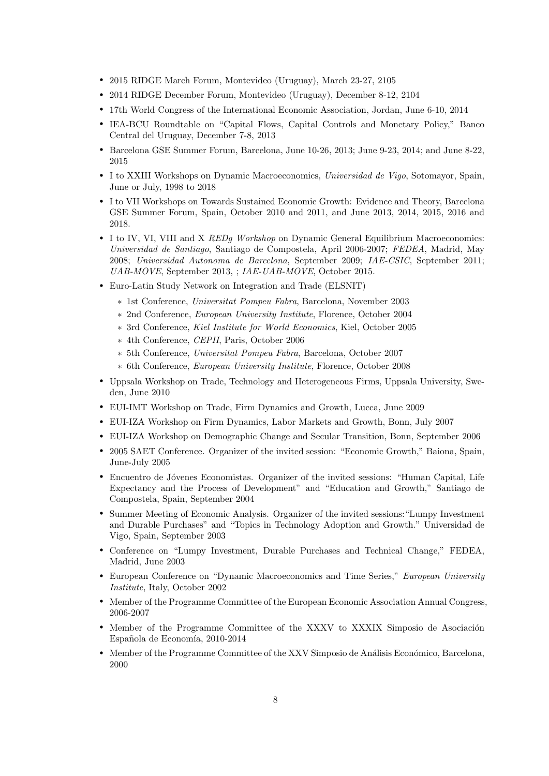- 2015 RIDGE March Forum, Montevideo (Uruguay), March 23-27, 2105
- r 2014 RIDGE December Forum, Montevideo (Uruguay), December 8-12, 2104
- 17th World Congress of the International Economic Association, Jordan, June 6-10, 2014
- r IEA-BCU Roundtable on "Capital Flows, Capital Controls and Monetary Policy," Banco Central del Uruguay, December 7-8, 2013
- r Barcelona GSE Summer Forum, Barcelona, June 10-26, 2013; June 9-23, 2014; and June 8-22, 2015
- I to XXIII Workshops on Dynamic Macroeconomics, Universidad de Vigo, Sotomayor, Spain, June or July, 1998 to 2018
- r I to VII Workshops on Towards Sustained Economic Growth: Evidence and Theory, Barcelona GSE Summer Forum, Spain, October 2010 and 2011, and June 2013, 2014, 2015, 2016 and 2018.
- I to IV, VI, VIII and X REDg Workshop on Dynamic General Equilibrium Macroeconomics: Universidad de Santiago, Santiago de Compostela, April 2006-2007; FEDEA, Madrid, May 2008; Universidad Autonoma de Barcelona, September 2009; IAE-CSIC, September 2011; UAB-MOVE, September 2013, ; IAE-UAB-MOVE, October 2015.
- Euro-Latin Study Network on Integration and Trade (ELSNIT)
	- ∗ 1st Conference, Universitat Pompeu Fabra, Barcelona, November 2003
	- ∗ 2nd Conference, European University Institute, Florence, October 2004
	- ∗ 3rd Conference, Kiel Institute for World Economics, Kiel, October 2005
	- ∗ 4th Conference, CEPII, Paris, October 2006
	- ∗ 5th Conference, Universitat Pompeu Fabra, Barcelona, October 2007
	- ∗ 6th Conference, European University Institute, Florence, October 2008
- r Uppsala Workshop on Trade, Technology and Heterogeneous Firms, Uppsala University, Sweden, June 2010
- r EUI-IMT Workshop on Trade, Firm Dynamics and Growth, Lucca, June 2009
- r EUI-IZA Workshop on Firm Dynamics, Labor Markets and Growth, Bonn, July 2007
- r EUI-IZA Workshop on Demographic Change and Secular Transition, Bonn, September 2006
- r 2005 SAET Conference. Organizer of the invited session: "Economic Growth," Baiona, Spain, June-July 2005
- Encuentro de Jóvenes Economistas. Organizer of the invited sessions: "Human Capital, Life Expectancy and the Process of Development" and "Education and Growth," Santiago de Compostela, Spain, September 2004
- r Summer Meeting of Economic Analysis. Organizer of the invited sessions:"Lumpy Investment and Durable Purchases" and "Topics in Technology Adoption and Growth." Universidad de Vigo, Spain, September 2003
- r Conference on "Lumpy Investment, Durable Purchases and Technical Change," FEDEA, Madrid, June 2003
- r European Conference on "Dynamic Macroeconomics and Time Series," European University Institute, Italy, October 2002
- r Member of the Programme Committee of the European Economic Association Annual Congress, 2006-2007
- Member of the Programme Committee of the XXXV to XXXIX Simposio de Asociación Española de Economía, 2010-2014
- Member of the Programme Committee of the XXV Simposio de Análisis Económico, Barcelona, 2000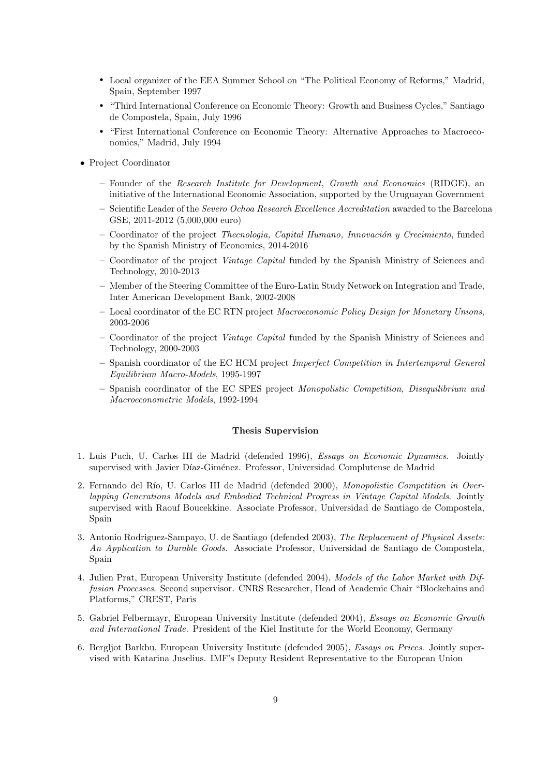- r Local organizer of the EEA Summer School on "The Political Economy of Reforms," Madrid, Spain, September 1997
- r "Third International Conference on Economic Theory: Growth and Business Cycles," Santiago de Compostela, Spain, July 1996
- r "First International Conference on Economic Theory: Alternative Approaches to Macroeconomics," Madrid, July 1994
- Project Coordinator
	- Founder of the Research Institute for Development, Growth and Economics (RIDGE), an initiative of the International Economic Association, supported by the Uruguayan Government
	- Scientific Leader of the Severo Ochoa Research Excellence Accreditation awarded to the Barcelona GSE, 2011-2012 (5,000,000 euro)
	- $-$  Coordinator of the project *Thecnologia, Capital Humano, Innovación y Crecimiento*, funded by the Spanish Ministry of Economics, 2014-2016
	- Coordinator of the project Vintage Capital funded by the Spanish Ministry of Sciences and Technology, 2010-2013
	- Member of the Steering Committee of the Euro-Latin Study Network on Integration and Trade, Inter American Development Bank, 2002-2008
	- Local coordinator of the EC RTN project Macroeconomic Policy Design for Monetary Unions, 2003-2006
	- Coordinator of the project Vintage Capital funded by the Spanish Ministry of Sciences and Technology, 2000-2003
	- Spanish coordinator of the EC HCM project Imperfect Competition in Intertemporal General Equilibrium Macro-Models, 1995-1997
	- Spanish coordinator of the EC SPES project Monopolistic Competition, Disequilibrium and Macroeconometric Models, 1992-1994

# Thesis Supervision

- 1. Luis Puch, U. Carlos III de Madrid (defended 1996), Essays on Economic Dynamics. Jointly supervised with Javier Díaz-Giménez. Professor, Universidad Complutense de Madrid
- 2. Fernando del Río, U. Carlos III de Madrid (defended 2000), Monopolistic Competition in Overlapping Generations Models and Embodied Technical Progress in Vintage Capital Models. Jointly supervised with Raouf Boucekkine. Associate Professor, Universidad de Santiago de Compostela, Spain
- 3. Antonio Rodriguez-Sampayo, U. de Santiago (defended 2003), The Replacement of Physical Assets: An Application to Durable Goods. Associate Professor, Universidad de Santiago de Compostela, Spain
- 4. Julien Prat, European University Institute (defended 2004), Models of the Labor Market with Diffusion Processes. Second supervisor. CNRS Researcher, Head of Academic Chair "Blockchains and Platforms," CREST, Paris
- 5. Gabriel Felbermayr, European University Institute (defended 2004), Essays on Economic Growth and International Trade. President of the Kiel Institute for the World Economy, Germany
- 6. Bergljot Barkbu, European University Institute (defended 2005), Essays on Prices. Jointly supervised with Katarina Juselius. IMF's Deputy Resident Representative to the European Union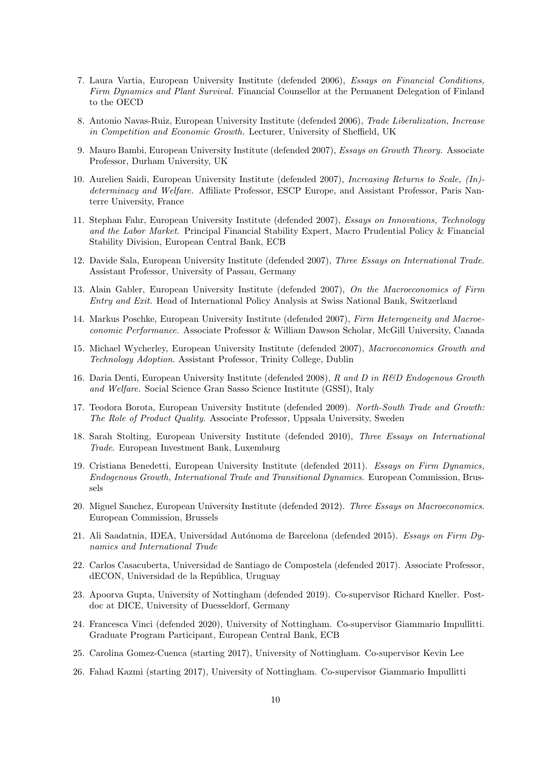- 7. Laura Vartia, European University Institute (defended 2006), Essays on Financial Conditions, Firm Dynamics and Plant Survival. Financial Counsellor at the Permanent Delegation of Finland to the OECD
- 8. Antonio Navas-Ruiz, European University Institute (defended 2006), Trade Liberalization, Increase in Competition and Economic Growth. Lecturer, University of Sheffield, UK
- 9. Mauro Bambi, European University Institute (defended 2007), Essays on Growth Theory. Associate Professor, Durham University, UK
- 10. Aurelien Saidi, European University Institute (defended 2007), Increasing Returns to Scale, (In) determinacy and Welfare. Affiliate Professor, ESCP Europe, and Assistant Professor, Paris Nanterre University, France
- 11. Stephan Fahr, European University Institute (defended 2007), Essays on Innovations, Technology and the Labor Market. Principal Financial Stability Expert, Macro Prudential Policy & Financial Stability Division, European Central Bank, ECB
- 12. Davide Sala, European University Institute (defended 2007), Three Essays on International Trade. Assistant Professor, University of Passau, Germany
- 13. Alain Gabler, European University Institute (defended 2007), On the Macroeconomics of Firm Entry and Exit. Head of International Policy Analysis at Swiss National Bank, Switzerland
- 14. Markus Poschke, European University Institute (defended 2007), Firm Heterogeneity and Macroeconomic Performance. Associate Professor & William Dawson Scholar, McGill University, Canada
- 15. Michael Wycherley, European University Institute (defended 2007), Macroeconomics Growth and Technology Adoption. Assistant Professor, Trinity College, Dublin
- 16. Daria Denti, European University Institute (defended 2008), R and D in R&D Endogenous Growth and Welfare. Social Science Gran Sasso Science Institute (GSSI), Italy
- 17. Teodora Borota, European University Institute (defended 2009). North-South Trade and Growth: The Role of Product Quality. Associate Professor, Uppsala University, Sweden
- 18. Sarah Stolting, European University Institute (defended 2010), Three Essays on International Trade. European Investment Bank, Luxemburg
- 19. Cristiana Benedetti, European University Institute (defended 2011). Essays on Firm Dynamics, Endogenous Growth, International Trade and Transitional Dynamics. European Commission, Brussels
- 20. Miguel Sanchez, European University Institute (defended 2012). Three Essays on Macroeconomics. European Commission, Brussels
- 21. Ali Saadatnia, IDEA, Universidad Autónoma de Barcelona (defended 2015). Essays on Firm Dynamics and International Trade
- 22. Carlos Casacuberta, Universidad de Santiago de Compostela (defended 2017). Associate Professor, dECON, Universidad de la República, Uruguay
- 23. Apoorva Gupta, University of Nottingham (defended 2019). Co-supervisor Richard Kneller. Postdoc at DICE, University of Duesseldorf, Germany
- 24. Francesca Vinci (defended 2020), University of Nottingham. Co-supervisor Giammario Impullitti. Graduate Program Participant, European Central Bank, ECB
- 25. Carolina Gomez-Cuenca (starting 2017), University of Nottingham. Co-supervisor Kevin Lee
- 26. Fahad Kazmi (starting 2017), University of Nottingham. Co-supervisor Giammario Impullitti